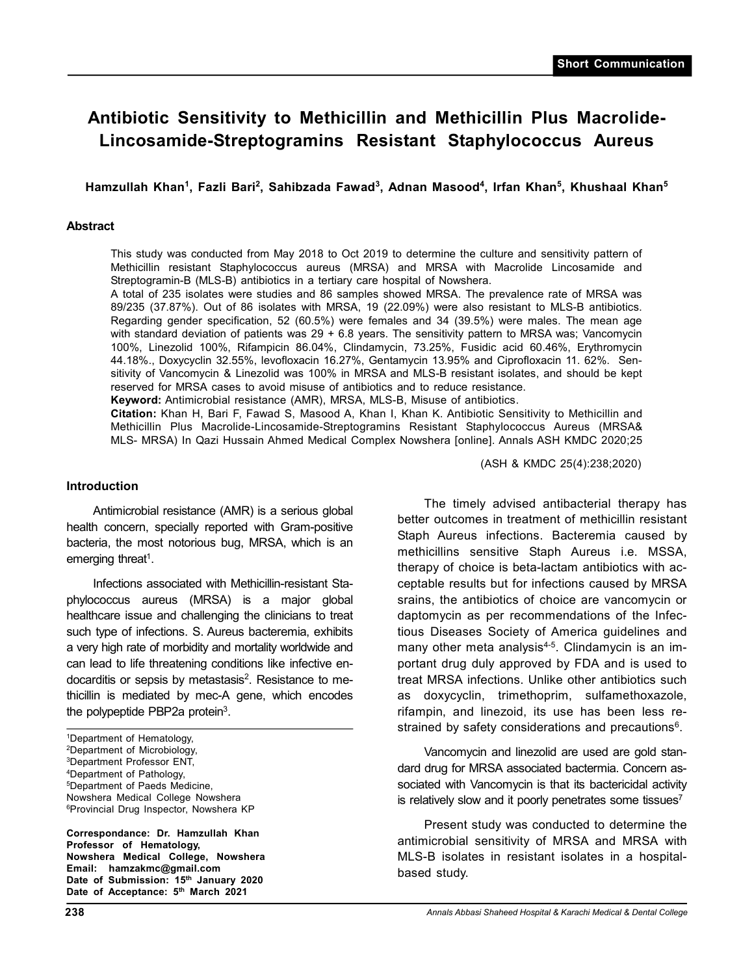# **Antibiotic Sensitivity to Methicillin and Methicillin Plus Macrolide-Lincosamide-Streptogramins Resistant Staphylococcus Aureus**

**Hamzullah Khan<sup>1</sup> , Fazli Bari<sup>2</sup> , Sahibzada Fawad<sup>3</sup> , Adnan Masood<sup>4</sup> , Irfan Khan<sup>5</sup> , Khushaal Khan<sup>5</sup>**

## **Abstract**

This study was conducted from May 2018 to Oct 2019 to determine the culture and sensitivity pattern of Methicillin resistant Staphylococcus aureus (MRSA) and MRSA with Macrolide Lincosamide and Streptogramin-B (MLS-B) antibiotics in a tertiary care hospital of Nowshera.

A total of 235 isolates were studies and 86 samples showed MRSA. The prevalence rate of MRSA was 89/235 (37.87%). Out of 86 isolates with MRSA, 19 (22.09%) were also resistant to MLS-B antibiotics. Regarding gender specification, 52 (60.5%) were females and 34 (39.5%) were males. The mean age with standard deviation of patients was 29 + 6.8 years. The sensitivity pattern to MRSA was; Vancomycin 100%, Linezolid 100%, Rifampicin 86.04%, Clindamycin, 73.25%, Fusidic acid 60.46%, Erythromycin 44.18%., Doxycyclin 32.55%, levofloxacin 16.27%, Gentamycin 13.95% and Ciprofloxacin 11. 62%. Sensitivity of Vancomycin & Linezolid was 100% in MRSA and MLS-B resistant isolates, and should be kept reserved for MRSA cases to avoid misuse of antibiotics and to reduce resistance.

**Keyword:** Antimicrobial resistance (AMR), MRSA, MLS-B, Misuse of antibiotics.

**Citation:** Khan H, Bari F, Fawad S, Masood A, Khan I, Khan K. Antibiotic Sensitivity to Methicillin and Methicillin Plus Macrolide-Lincosamide-Streptogramins Resistant Staphylococcus Aureus (MRSA& MLS- MRSA) In Qazi Hussain Ahmed Medical Complex Nowshera [online]. Annals ASH KMDC 2020;25

(ASH & KMDC 25(4):238;2020)

#### **Introduction**

Antimicrobial resistance (AMR) is a serious global health concern, specially reported with Gram-positive bacteria, the most notorious bug, MRSA, which is an emerging threat<sup>1</sup>.

Infections associated with Methicillin-resistant Staphylococcus aureus (MRSA) is a major global healthcare issue and challenging the clinicians to treat such type of infections. S. Aureus bacteremia, exhibits a very high rate of morbidity and mortality worldwide and can lead to life threatening conditions like infective endocarditis or sepsis by metastasis<sup>2</sup>. Resistance to methicillin is mediated by mec-A gene, which encodes the polypeptide PBP2a protein $3$ .

**Correspondance: Dr. Hamzullah Khan Professor of Hematology, Nowshera Medical College, Nowshera Email: hamzakmc@gmail.com Date of Submission: 15th January 2020 Date of Acceptance: 5th March 2021**

The timely advised antibacterial therapy has better outcomes in treatment of methicillin resistant Staph Aureus infections. Bacteremia caused by methicillins sensitive Staph Aureus i.e. MSSA, therapy of choice is beta-lactam antibiotics with acceptable results but for infections caused by MRSA srains, the antibiotics of choice are vancomycin or daptomycin as per recommendations of the Infectious Diseases Society of America guidelines and many other meta analysis $4-5$ . Clindamycin is an important drug duly approved by FDA and is used to treat MRSA infections. Unlike other antibiotics such as doxycyclin, trimethoprim, sulfamethoxazole, rifampin, and linezoid, its use has been less restrained by safety considerations and precautions $6$ .

Vancomycin and linezolid are used are gold standard drug for MRSA associated bactermia. Concern associated with Vancomycin is that its bactericidal activity is relatively slow and it poorly penetrates some tissues<sup>7</sup>

Present study was conducted to determine the antimicrobial sensitivity of MRSA and MRSA with MLS-B isolates in resistant isolates in a hospitalbased study.

<sup>1</sup>Department of Hematology, <sup>2</sup>Department of Microbiology, <sup>3</sup>Department Professor ENT, <sup>4</sup>Department of Pathology, <sup>5</sup>Department of Paeds Medicine, Nowshera Medical College Nowshera <sup>6</sup>Provincial Drug Inspector, Nowshera KP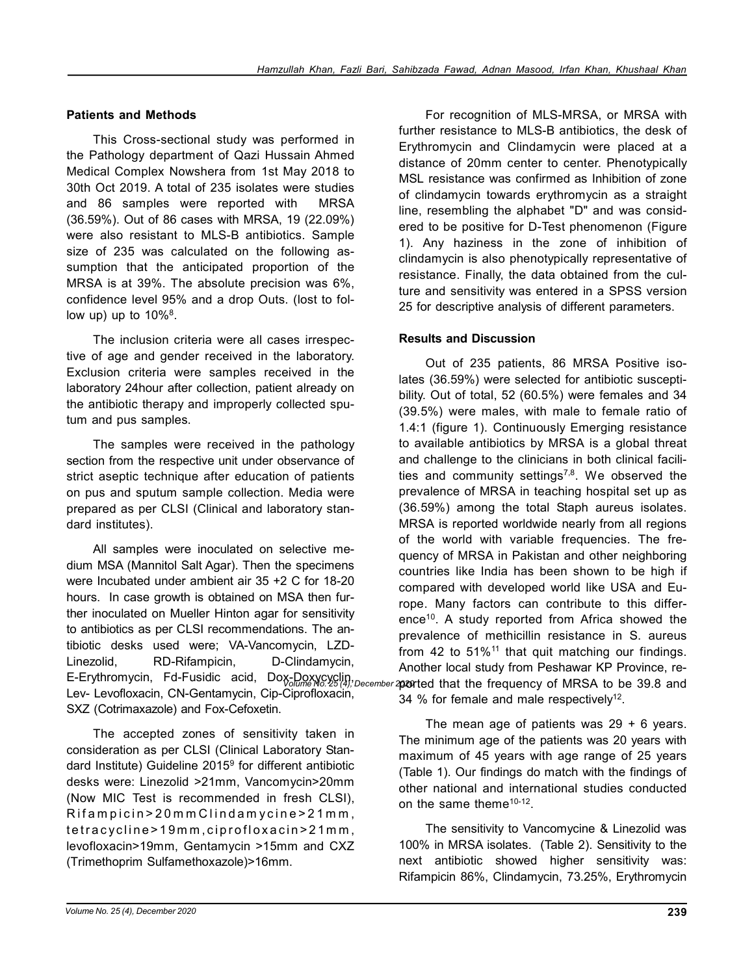## **Patients and Methods**

This Cross-sectional study was performed in the Pathology department of Qazi Hussain Ahmed Medical Complex Nowshera from 1st May 2018 to 30th Oct 2019. A total of 235 isolates were studies and 86 samples were reported with MRSA (36.59%). Out of 86 cases with MRSA, 19 (22.09%) were also resistant to MLS-B antibiotics. Sample size of 235 was calculated on the following assumption that the anticipated proportion of the MRSA is at 39%. The absolute precision was 6%, confidence level 95% and a drop Outs. (lost to follow up) up to  $10\%$ <sup>8</sup>.

The inclusion criteria were all cases irrespective of age and gender received in the laboratory. Exclusion criteria were samples received in the laboratory 24hour after collection, patient already on the antibiotic therapy and improperly collected sputum and pus samples.

The samples were received in the pathology section from the respective unit under observance of strict aseptic technique after education of patients on pus and sputum sample collection. Media were prepared as per CLSI (Clinical and laboratory standard institutes).

All samples were inoculated on selective medium MSA (Mannitol Salt Agar). Then the specimens were Incubated under ambient air 35 +2 C for 18-20 hours. In case growth is obtained on MSA then further inoculated on Mueller Hinton agar for sensitivity to antibiotics as per CLSI recommendations. The antibiotic desks used were; VA-Vancomycin, LZD-Linezolid, RD-Rifampicin, D-Clindamycin, E-Erythromycin, Fd-Fusidic acid, Dox-Doxycyclin, December **prorted that the frequency of MRSA to be 39.8** and Lev- Levofloxacin, CN-Gentamycin, Cip-Ciprofloxacin, SXZ (Cotrimaxazole) and Fox-Cefoxetin.

The accepted zones of sensitivity taken in consideration as per CLSI (Clinical Laboratory Standard Institute) Guideline 2015<sup>9</sup> for different antibiotic desks were: Linezolid >21mm, Vancomycin>20mm (Now MIC Test is recommended in fresh CLSI), Rifampicin > 20 mm Clindam y cine > 21 mm, tetracycline>19mm, ciprofloxacin>21mm, levofloxacin>19mm, Gentamycin >15mm and CXZ (Trimethoprim Sulfamethoxazole)>16mm.

For recognition of MLS-MRSA, or MRSA with further resistance to MLS-B antibiotics, the desk of Erythromycin and Clindamycin were placed at a distance of 20mm center to center. Phenotypically MSL resistance was confirmed as Inhibition of zone of clindamycin towards erythromycin as a straight line, resembling the alphabet "D" and was considered to be positive for D-Test phenomenon (Figure 1). Any haziness in the zone of inhibition of clindamycin is also phenotypically representative of resistance. Finally, the data obtained from the culture and sensitivity was entered in a SPSS version 25 for descriptive analysis of different parameters.

#### **Results and Discussion**

Out of 235 patients, 86 MRSA Positive isolates (36.59%) were selected for antibiotic susceptibility. Out of total, 52 (60.5%) were females and 34 (39.5%) were males, with male to female ratio of 1.4:1 (figure 1). Continuously Emerging resistance to available antibiotics by MRSA is a global threat and challenge to the clinicians in both clinical facilities and community settings<sup>7,8</sup>. We observed the prevalence of MRSA in teaching hospital set up as (36.59%) among the total Staph aureus isolates. MRSA is reported worldwide nearly from all regions of the world with variable frequencies. The frequency of MRSA in Pakistan and other neighboring countries like India has been shown to be high if compared with developed world like USA and Europe. Many factors can contribute to this difference<sup>10</sup>. A study reported from Africa showed the prevalence of methicillin resistance in S. aureus from 42 to  $51\%$ <sup>11</sup> that quit matching our findings. Another local study from Peshawar KP Province, re-34 % for female and male respectively<sup>12</sup>.

The mean age of patients was  $29 + 6$  years. The minimum age of the patients was 20 years with maximum of 45 years with age range of 25 years (Table 1). Our findings do match with the findings of other national and international studies conducted on the same theme<sup>10-12</sup>.

The sensitivity to Vancomycine & Linezolid was 100% in MRSA isolates. (Table 2). Sensitivity to the next antibiotic showed higher sensitivity was: Rifampicin 86%, Clindamycin, 73.25%, Erythromycin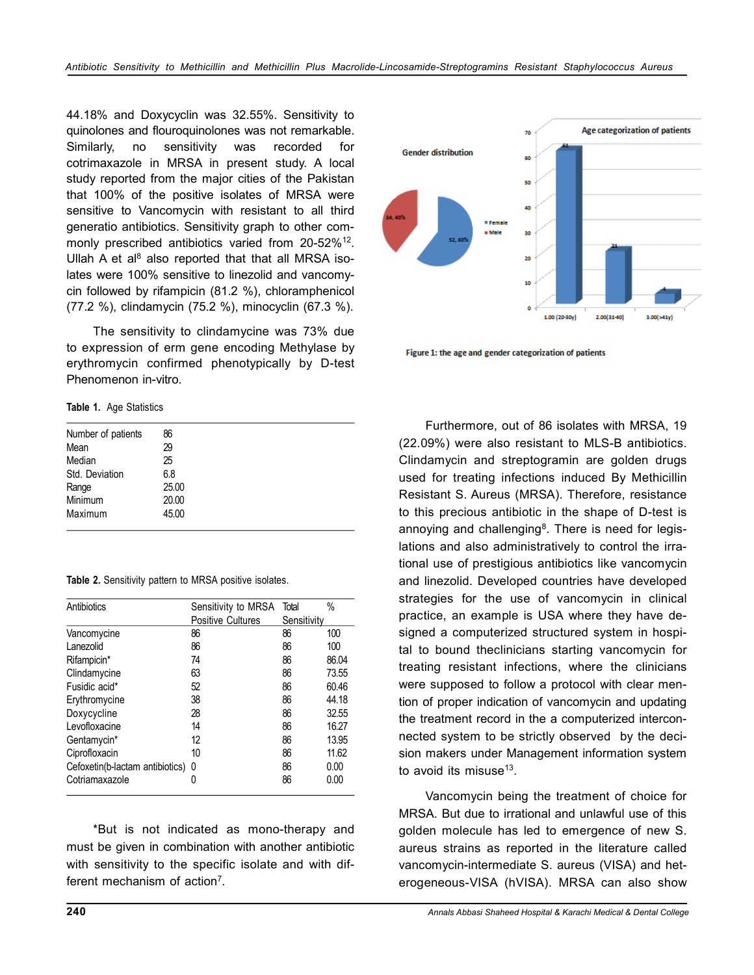44.18% and Doxycyclin was 32.55%. Sensitivity to quinolones and flouroquinolones was not remarkable. Similarly, no sensitivity was recorded for cotrimaxazole in MRSA in present study. A local study reported from the major cities of the Pakistan that 100% of the positive isolates of MRSA were sensitive to Vancomycin with resistant to all third generatio antibiotics. Sensitivity graph to other commonly prescribed antibiotics varied from 20-52%<sup>12</sup>. Ullah A et al $8$  also reported that that all MRSA isolates were 100% sensitive to linezolid and vancomycin followed by rifampicin (81.2 %), chloramphenicol (77.2 %), clindamycin (75.2 %), minocyclin (67.3 %).

The sensitivity to clindamycine was 73% due to expression of erm gene encoding Methylase by erythromycin confirmed phenotypically by D-test Phenomenon in-vitro.

**Table 1.** Age Statistics

| Number of patients | 86    |  |  |
|--------------------|-------|--|--|
| Mean               | 29    |  |  |
| Median             | 25    |  |  |
| Std. Deviation     | 6.8   |  |  |
| Range              | 25.00 |  |  |
| Minimum            | 20.00 |  |  |
| Maximum            | 45.00 |  |  |
|                    |       |  |  |

**Table 2.** Sensitivity pattern to MRSA positive isolates.

| Antibiotics                       | Sensitivity to MRSA      | Total       | $\%$  |
|-----------------------------------|--------------------------|-------------|-------|
|                                   | <b>Positive Cultures</b> | Sensitivity |       |
| Vancomycine                       | 86                       | 86          | 100   |
| Lanezolid                         | 86                       | 86          | 100   |
| Rifampicin*                       | 74                       | 86          | 86.04 |
| Clindamycine                      | 63                       | 86          | 73.55 |
| Fusidic acid*                     | 52                       | 86          | 60.46 |
| Erythromycine                     | 38                       | 86          | 44.18 |
| Doxycycline                       | 28                       | 86          | 32.55 |
| Levofloxacine                     | 14                       | 86          | 16.27 |
| Gentamycin*                       | 12                       | 86          | 13.95 |
| Ciprofloxacin                     | 10                       | 86          | 11.62 |
| Cefoxetin(b-lactam antibiotics) 0 |                          | 86          | 0.00  |
| Cotriamaxazole                    | 0                        | 86          | 0.00  |

\*But is not indicated as mono-therapy and must be given in combination with another antibiotic with sensitivity to the specific isolate and with different mechanism of action<sup>7</sup>.



Figure 1: the age and gender categorization of patients

Furthermore, out of 86 isolates with MRSA, 19 (22.09%) were also resistant to MLS-B antibiotics. Clindamycin and streptogramin are golden drugs used for treating infections induced By Methicillin Resistant S. Aureus (MRSA). Therefore, resistance to this precious antibiotic in the shape of D-test is annoying and challenging<sup>8</sup>. There is need for legislations and also administratively to control the irrational use of prestigious antibiotics like vancomycin and linezolid. Developed countries have developed strategies for the use of vancomycin in clinical practice, an example is USA where they have designed a computerized structured system in hospital to bound theclinicians starting vancomycin for treating resistant infections, where the clinicians were supposed to follow a protocol with clear mention of proper indication of vancomycin and updating the treatment record in the a computerized interconnected system to be strictly observed by the decision makers under Management information system to avoid its misuse $^{13}$ .

Vancomycin being the treatment of choice for MRSA. But due to irrational and unlawful use of this golden molecule has led to emergence of new S. aureus strains as reported in the literature called vancomycin-intermediate S. aureus (VISA) and heterogeneous-VISA (hVISA). MRSA can also show